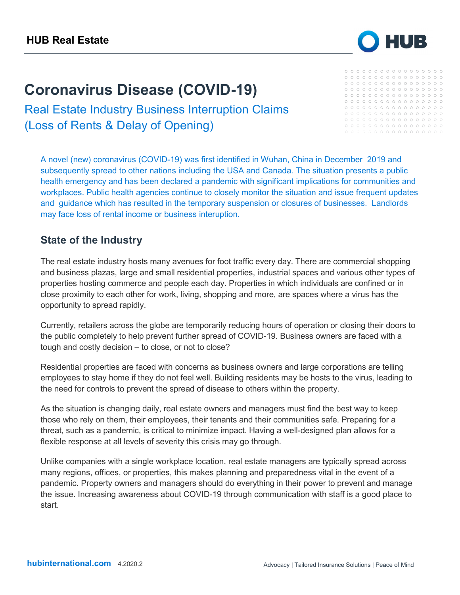# **Coronavirus Disease (COVID-19)**

Real Estate Industry Business Interruption Claims (Loss of Rents & Delay of Opening)

A novel (new) coronavirus (COVID-19) was first identified in Wuhan, China in December 2019 and subsequently spread to other nations including the USA and Canada. The situation presents a public health emergency and has been declared a pandemic with significant implications for communities and workplaces. Public health agencies continue to closely monitor the situation and issue frequent updates and guidance which has resulted in the temporary suspension or closures of businesses. Landlords may face loss of rental income or business interuption.

## **State of the Industry**

The real estate industry hosts many avenues for foot traffic every day. There are commercial shopping and business plazas, large and small residential properties, industrial spaces and various other types of properties hosting commerce and people each day. Properties in which individuals are confined or in close proximity to each other for work, living, shopping and more, are spaces where a virus has the opportunity to spread rapidly.

Currently, retailers across the globe are temporarily reducing hours of operation or closing their doors to the public completely to help prevent further spread of COVID-19. Business owners are faced with a tough and costly decision – to close, or not to close?

Residential properties are faced with concerns as business owners and large corporations are telling employees to stay home if they do not feel well. Building residents may be hosts to the virus, leading to the need for controls to prevent the spread of disease to others within the property.

As the situation is changing daily, real estate owners and managers must find the best way to keep those who rely on them, their employees, their tenants and their communities safe. Preparing for a threat, such as a pandemic, is critical to minimize impact. Having a well-designed plan allows for a flexible response at all levels of severity this crisis may go through.

Unlike companies with a single workplace location, real estate managers are typically spread across many regions, offices, or properties, this makes planning and preparedness vital in the event of a pandemic. Property owners and managers should do everything in their power to prevent and manage the issue. Increasing awareness about COVID-19 through communication with staff is a good place to start.



#### $0000000000000000000$  $0000000000000000000$  $00000000000000000000$  $0000000000000000000$  $0000000000000000000$  $0000000000000000000$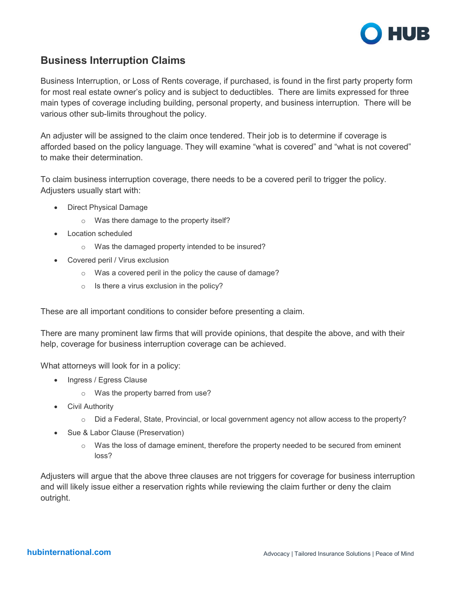

## **Business Interruption Claims**

Business Interruption, or Loss of Rents coverage, if purchased, is found in the first party property form for most real estate owner's policy and is subject to deductibles. There are limits expressed for three main types of coverage including building, personal property, and business interruption. There will be various other sub-limits throughout the policy.

An adjuster will be assigned to the claim once tendered. Their job is to determine if coverage is afforded based on the policy language. They will examine "what is covered" and "what is not covered" to make their determination.

To claim business interruption coverage, there needs to be a covered peril to trigger the policy. Adjusters usually start with:

- Direct Physical Damage
	- o Was there damage to the property itself?
- Location scheduled
	- o Was the damaged property intended to be insured?
- Covered peril / Virus exclusion
	- o Was a covered peril in the policy the cause of damage?
	- $\circ$  Is there a virus exclusion in the policy?

These are all important conditions to consider before presenting a claim.

There are many prominent law firms that will provide opinions, that despite the above, and with their help, coverage for business interruption coverage can be achieved.

What attorneys will look for in a policy:

- Ingress / Egress Clause
	- o Was the property barred from use?
- Civil Authority
	- o Did a Federal, State, Provincial, or local government agency not allow access to the property?
- Sue & Labor Clause (Preservation)
	- $\circ$  Was the loss of damage eminent, therefore the property needed to be secured from eminent loss?

Adjusters will argue that the above three clauses are not triggers for coverage for business interruption and will likely issue either a reservation rights while reviewing the claim further or deny the claim outright.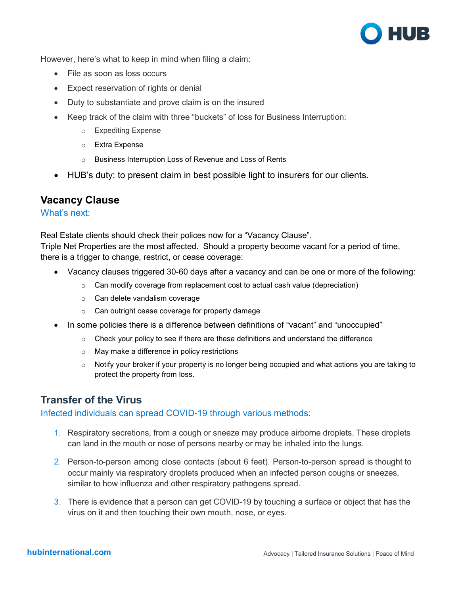

However, here's what to keep in mind when filing a claim:

- File as soon as loss occurs
- Expect reservation of rights or denial
- Duty to substantiate and prove claim is on the insured
- Keep track of the claim with three "buckets" of loss for Business Interruption:
	- o Expediting Expense
	- o Extra Expense
	- o Business Interruption Loss of Revenue and Loss of Rents
- HUB's duty: to present claim in best possible light to insurers for our clients.

## **Vacancy Clause**

#### What's next:

Real Estate clients should check their polices now for a "Vacancy Clause". Triple Net Properties are the most affected. Should a property become vacant for a period of time, there is a trigger to change, restrict, or cease coverage:

- Vacancy clauses triggered 30-60 days after a vacancy and can be one or more of the following:
	- o Can modify coverage from replacement cost to actual cash value (depreciation)
	- o Can delete vandalism coverage
	- o Can outright cease coverage for property damage
- In some policies there is a difference between definitions of "vacant" and "unoccupied"
	- $\circ$  Check your policy to see if there are these definitions and understand the difference
	- o May make a difference in policy restrictions
	- $\circ$  Notify your broker if your property is no longer being occupied and what actions you are taking to protect the property from loss.

## **Transfer of the Virus**

#### Infected individuals can spread COVID-19 through various methods:

- 1. Respiratory secretions, from a cough or sneeze may produce airborne droplets. These droplets can land in the mouth or nose of persons nearby or may be inhaled into the lungs.
- 2. Person-to-person among close contacts (about 6 feet). Person-to-person spread is thought to occur mainly via respiratory droplets produced when an infected person coughs or sneezes, similar to how influenza and other respiratory pathogens spread.
- 3. There is evidence that a person can get COVID-19 by touching a surface or object that has the virus on it and then touching their own mouth, nose, or eyes.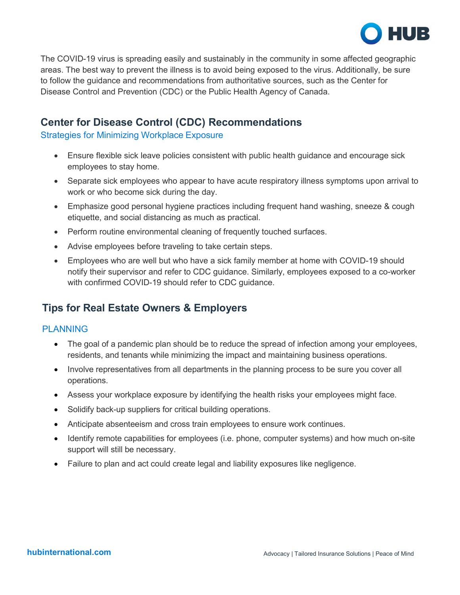

The COVID-19 virus is spreading easily and sustainably in the community in some affected geographic areas. The best way to prevent the illness is to avoid being exposed to the virus. Additionally, be sure to follow the guidance and recommendations from authoritative sources, such as the Center for Disease Control and Prevention (CDC) or the Public Health Agency of Canada.

## **Center for Disease Control (CDC) Recommendations**

Strategies for Minimizing Workplace Exposure

- Ensure flexible sick leave policies consistent with public health guidance and encourage sick employees to stay home.
- Separate sick employees who appear to have acute respiratory illness symptoms upon arrival to work or who become sick during the day.
- Emphasize good personal hygiene practices including frequent hand washing, sneeze & cough etiquette, and social distancing as much as practical.
- Perform routine environmental cleaning of frequently touched surfaces.
- Advise employees before traveling to take certain steps.
- Employees who are well but who have a sick family member at home with COVID-19 should notify their supervisor and refer to CDC guidance. Similarly, employees exposed to a co-worker with confirmed COVID-19 should refer to CDC guidance.

## **Tips for Real Estate Owners & Employers**

#### PLANNING

- The goal of a pandemic plan should be to reduce the spread of infection among your employees, residents, and tenants while minimizing the impact and maintaining business operations.
- Involve representatives from all departments in the planning process to be sure you cover all operations.
- Assess your workplace exposure by identifying the health risks your employees might face.
- Solidify back-up suppliers for critical building operations.
- Anticipate absenteeism and cross train employees to ensure work continues.
- Identify remote capabilities for employees (i.e. phone, computer systems) and how much on-site support will still be necessary.
- Failure to plan and act could create legal and liability exposures like negligence.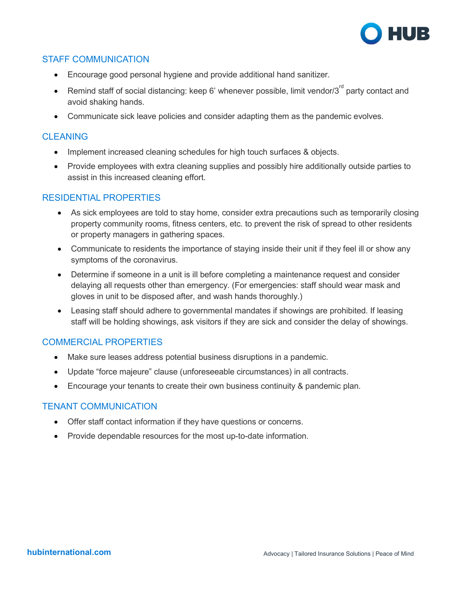

### STAFF COMMUNICATION

- Encourage good personal hygiene and provide additional hand sanitizer.
- Remind staff of social distancing: keep 6' whenever possible, limit vendor/3 $^{\text{rd}}$  party contact and avoid shaking hands.
- Communicate sick leave policies and consider adapting them as the pandemic evolves.

### **CI FANING**

- Implement increased cleaning schedules for high touch surfaces & objects.
- Provide employees with extra cleaning supplies and possibly hire additionally outside parties to assist in this increased cleaning effort.

#### RESIDENTIAL PROPERTIES

- As sick employees are told to stay home, consider extra precautions such as temporarily closing property community rooms, fitness centers, etc. to prevent the risk of spread to other residents or property managers in gathering spaces.
- Communicate to residents the importance of staying inside their unit if they feel ill or show any symptoms of the coronavirus.
- Determine if someone in a unit is ill before completing a maintenance request and consider delaying all requests other than emergency. (For emergencies: staff should wear mask and gloves in unit to be disposed after, and wash hands thoroughly.)
- Leasing staff should adhere to governmental mandates if showings are prohibited. If leasing staff will be holding showings, ask visitors if they are sick and consider the delay of showings.

#### COMMERCIAL PROPERTIES

- Make sure leases address potential business disruptions in a pandemic.
- Update "force majeure" clause (unforeseeable circumstances) in all contracts.
- Encourage your tenants to create their own business continuity & pandemic plan.

#### TENANT COMMUNICATION

- Offer staff contact information if they have questions or concerns.
- Provide dependable resources for the most up-to-date information.